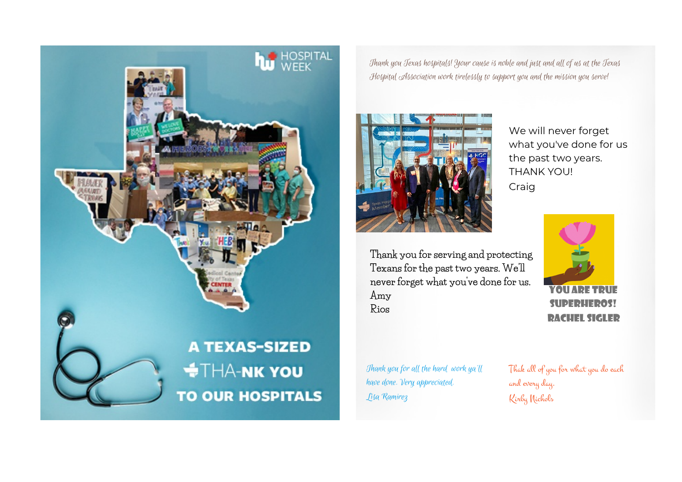

Thank you Texas hospitals! Your cause is noble and just and all of us at the Texas Hospital Association work tirelessly to support you and the mission you serve!



We will never forget what you've done for us the past two years. THANK YOU! Craig

**Thank you for serving and protecting Texans for the past two years. We'll never forget what you've done for us. Amy Rios**



You are true superheros! Rachel Sigler

Thank you for all the hard work ya'll have done. Very appreciated. Lisa Ramirez

Thak all of you for what you do each and every day. Kirby Nichols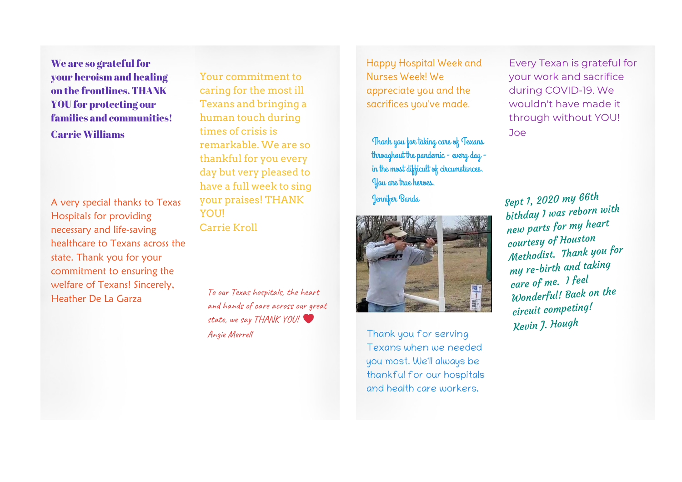We are so grateful for your heroism and healing on the frontlines. THANK YOU for protecting our families and communities! Carrie Williams

A very special thanks to Texas Hospitals for providing necessary and life-saving healthcare to Texans across the state. Thank you for your commitment to ensuring the welfare of Texans! Sincerely, Heather De La Garza

Your commitment to caring for the most ill Texans and bringing a human touch during times of crisis is remarkable. We are so thankful for you every day but very pleased to have a full week to sing your praises! THANK YOUL Carrie Kroll

To our Texas hospitals, the heart and hands of care across our great state, we say THANK YOU! Angie Merrell

Happy Hospital Week and Nurses Week! We appreciate you and the sacrifices you've made.

Thank you for taking care of Texans throughout the pandemic - every day in the most difficult of circumstances. You are true heroes.

Jennifer Banda



Thank you for serving Texans when we needed you most. We'll always be thankful for our hospitals and health care workers.

Every Texan is grateful for your work and sacrifice during COVID-19. We wouldn't have made it through without YOU! Joe

Sept 1, <sup>2020</sup> my 66th bithday <sup>I</sup> was reborn with new parts for my heart courtesy of Houston Methodist. Thank you for my re-birth and taking care of me. <sup>I</sup> feel Wonderful! Back on the circuit competing! Kevin J. Hough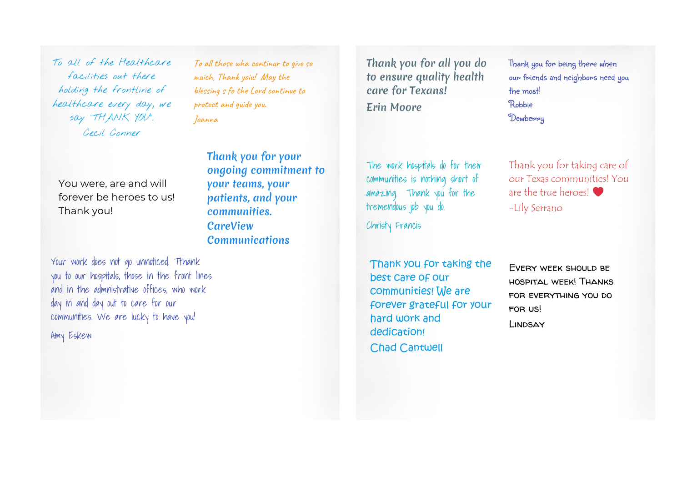To all of the Healthcare facilities out there holding the frontline of healthcare every day, we say "THANK YOU". Cecil Conner

To all those wha continur to give so muich, Thank yoiu! May the blessing s fo the Lord continue to protect and guide you. Joanna

Thank you for your

ongoing commitment to

You were, are and will forever be heroes to us! Thank you!

your teams, your patients, and your communities. **CareView Communications** 

Your work does not go unnoticed. Tthank you to our hospitals, those in the front lines and in the admnistrative offices, who work day in and day out to care for our communities. We are lucky to have you! Amy Eskew

Thank you for all you do to ensure quality health care for Texans! Erin Moore

The work hospitals do for their communities is nothing short of amazing. Thank you for the tremendous job you do.

Christy Francis

Thank you for taking the best care of our communities! We are forever grateful for your hard work and dedication! Chad Cantwell

Thank you for being there when our friends and neighbors need you the most! Robbie **Dewberry** 

Thank you for taking care of our Texas communities! You are the true heroes! -Lily Serrano

Every week should be hospital week! Thanks for everything you do for us! Lindsay